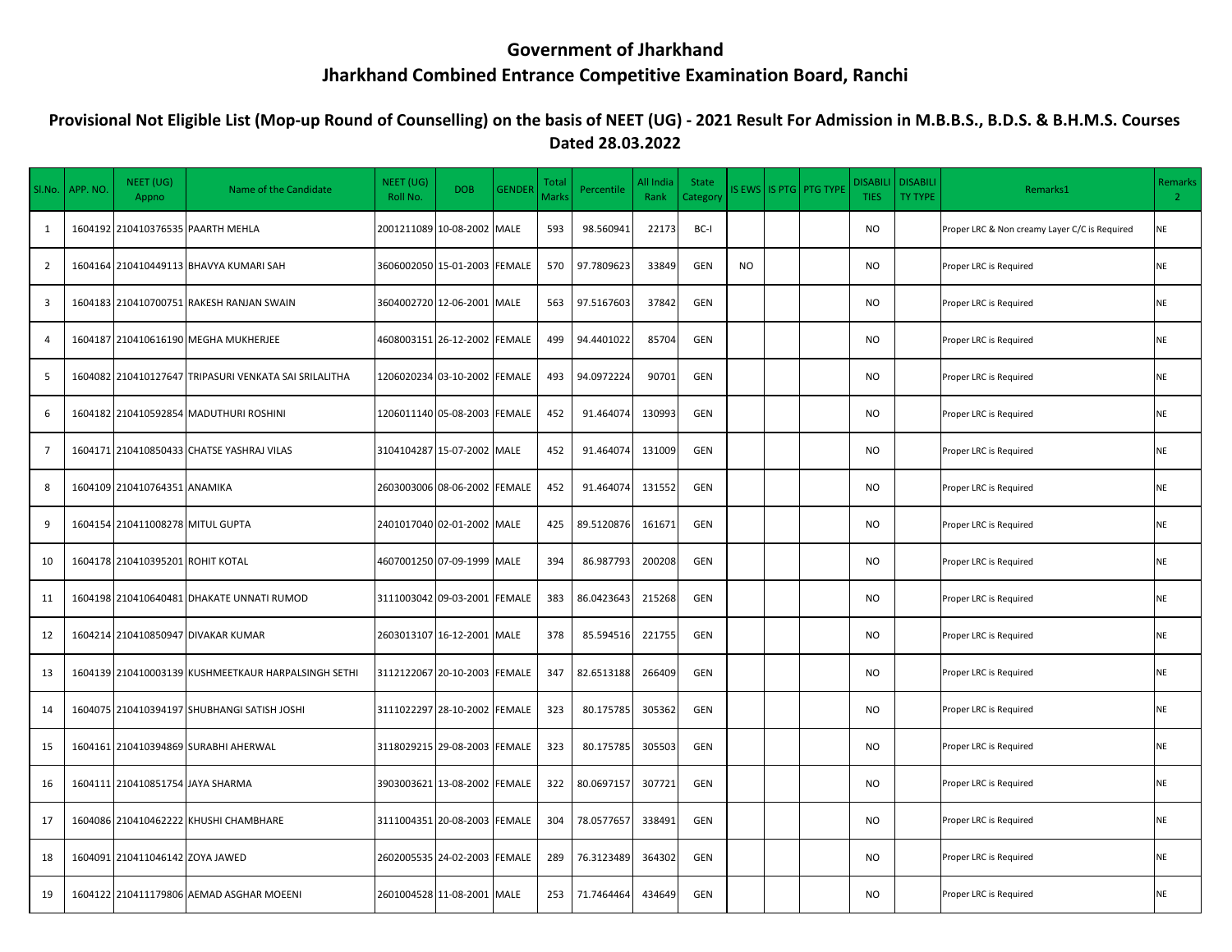## **Government of Jharkhand Jharkhand Combined Entrance Competitive Examination Board, Ranchi**

## **Provisional Not Eligible List (Mop-up Round of Counselling) on the basis of NEET (UG) - 2021 Result For Admission in M.B.B.S., B.D.S. & B.H.M.S. Courses Dated 28.03.2022**

| SI.No.         | APP. NO | NEET (UG)<br>Appno               | Name of the Candidate                                 | NEET (UG)<br>Roll No.        | <b>DOB</b>                   | <b>GENDER</b> | Total<br>Marks | Percentile | All India<br>Rank | <b>State</b><br>Categon |           | IS EWS   IS PTG   PTG TYPE | <b>DISABILI</b><br><b>TIES</b> | <b>DISABILI</b><br><b>TY TYPE</b> | Remarks1                                      | <b>Remarks</b><br>$\overline{2}$ |
|----------------|---------|----------------------------------|-------------------------------------------------------|------------------------------|------------------------------|---------------|----------------|------------|-------------------|-------------------------|-----------|----------------------------|--------------------------------|-----------------------------------|-----------------------------------------------|----------------------------------|
| 1              |         |                                  | 1604192 210410376535 PAARTH MEHLA                     |                              | 2001211089 10-08-2002 MALE   |               | 593            | 98.560941  | 22173             | BC-I                    |           |                            | <b>NO</b>                      |                                   | Proper LRC & Non creamy Layer C/C is Required | NE                               |
| $\overline{2}$ |         |                                  | 1604164 210410449113 BHAVYA KUMARI SAH                | 3606002050 15-01-2003 FEMALE |                              |               | 570            | 97.7809623 | 33849             | GEN                     | <b>NO</b> |                            | <b>NO</b>                      |                                   | Proper LRC is Required                        | NE                               |
| 3              |         |                                  | 1604183 210410700751 RAKESH RANJAN SWAIN              | 3604002720 12-06-2001 MALE   |                              |               | 563            | 97.5167603 | 37842             | GEN                     |           |                            | <b>NO</b>                      |                                   | Proper LRC is Required                        | <b>NE</b>                        |
| $\overline{4}$ |         |                                  | 1604187 210410616190 MEGHA MUKHERJEE                  | 4608003151 26-12-2002 FEMALE |                              |               | 499            | 94.4401022 | 85704             | GEN                     |           |                            | <b>NO</b>                      |                                   | Proper LRC is Required                        | NE                               |
| 5              |         |                                  | 1604082 210410127647 TRIPASURI VENKATA SAI SRILALITHA |                              | 1206020234 03-10-2002 FEMALE |               | 493            | 94.0972224 | 90701             | GEN                     |           |                            | <b>NO</b>                      |                                   | Proper LRC is Required                        | <b>NE</b>                        |
| 6              |         |                                  | 1604182 210410592854 MADUTHURI ROSHINI                | 1206011140 05-08-2003 FEMALE |                              |               | 452            | 91.464074  | 130993            | GEN                     |           |                            | <b>NO</b>                      |                                   | Proper LRC is Required                        | <b>NE</b>                        |
| $\overline{7}$ |         |                                  | 1604171 210410850433 CHATSE YASHRAJ VILAS             | 3104104287 15-07-2002 MALE   |                              |               | 452            | 91.464074  | 131009            | GEN                     |           |                            | <b>NO</b>                      |                                   | Proper LRC is Required                        | <b>NE</b>                        |
| 8              |         | 1604109 210410764351 ANAMIKA     |                                                       | 2603003006 08-06-2002 FEMALE |                              |               | 452            | 91.464074  | 131552            | GEN                     |           |                            | <b>NO</b>                      |                                   | Proper LRC is Required                        | <b>NE</b>                        |
| 9              |         | 1604154 210411008278 MITUL GUPTA |                                                       | 2401017040 02-01-2002 MALE   |                              |               | 425            | 89.5120876 | 161671            | GEN                     |           |                            | <b>NO</b>                      |                                   | Proper LRC is Required                        | NE                               |
| 10             |         | 1604178 210410395201 ROHIT KOTAL |                                                       | 4607001250 07-09-1999 MALE   |                              |               | 394            | 86.987793  | 200208            | GEN                     |           |                            | <b>NO</b>                      |                                   | Proper LRC is Required                        | <b>NE</b>                        |
| 11             |         |                                  | 1604198 210410640481 DHAKATE UNNATI RUMOD             | 3111003042 09-03-2001 FEMALE |                              |               | 383            | 86.0423643 | 215268            | GEN                     |           |                            | <b>NO</b>                      |                                   | Proper LRC is Required                        | NE                               |
| 12             |         |                                  | 1604214 210410850947 DIVAKAR KUMAR                    | 2603013107 16-12-2001 MALE   |                              |               | 378            | 85.594516  | 221755            | GEN                     |           |                            | <b>NO</b>                      |                                   | Proper LRC is Required                        | NE                               |
| 13             |         |                                  | 1604139 210410003139 KUSHMEETKAUR HARPALSINGH SETHI   | 3112122067 20-10-2003 FEMALE |                              |               | 347            | 82.6513188 | 266409            | GEN                     |           |                            | <b>NO</b>                      |                                   | Proper LRC is Required                        | <b>NE</b>                        |
| 14             |         |                                  | 1604075 210410394197 SHUBHANGI SATISH JOSHI           | 3111022297 28-10-2002 FEMALE |                              |               | 323            | 80.175785  | 305362            | GEN                     |           |                            | <b>NO</b>                      |                                   | Proper LRC is Required                        | <b>NE</b>                        |
| 15             |         |                                  | 1604161 210410394869 SURABHI AHERWAL                  | 3118029215 29-08-2003 FEMALE |                              |               | 323            | 80.175785  | 305503            | GEN                     |           |                            | <b>NO</b>                      |                                   | Proper LRC is Required                        | NE                               |
| 16             |         | 1604111 210410851754 JAYA SHARMA |                                                       | 3903003621 13-08-2002 FEMALE |                              |               | 322            | 80.0697157 | 307721            | GEN                     |           |                            | <b>NO</b>                      |                                   | Proper LRC is Required                        | NE                               |
| 17             |         |                                  | 1604086 210410462222 KHUSHI CHAMBHARE                 | 3111004351 20-08-2003 FEMALE |                              |               | 304            | 78.0577657 | 338491            | GEN                     |           |                            | <b>NO</b>                      |                                   | Proper LRC is Required                        | NE                               |
| 18             |         | 1604091 210411046142 ZOYA JAWED  |                                                       | 2602005535 24-02-2003 FEMALE |                              |               | 289            | 76.3123489 | 364302            | GEN                     |           |                            | <b>NO</b>                      |                                   | Proper LRC is Required                        | <b>NE</b>                        |
| 19             |         |                                  | 1604122 210411179806 AEMAD ASGHAR MOEENI              | 2601004528 11-08-2001 MALE   |                              |               | 253            | 71.7464464 | 434649            | GEN                     |           |                            | <b>NO</b>                      |                                   | Proper LRC is Required                        | NE                               |